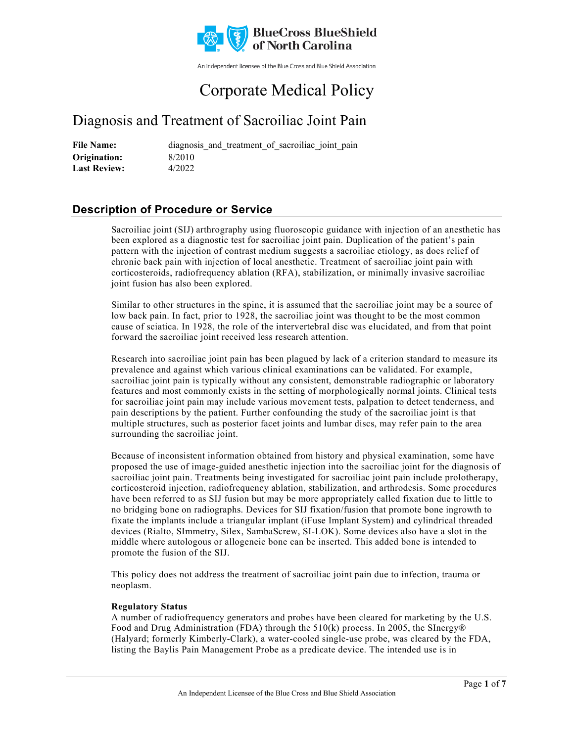

An independent licensee of the Blue Cross and Blue Shield Association

# Corporate Medical Policy

## Diagnosis and Treatment of Sacroiliac Joint Pain

File Name: **diagnosis** and treatment of sacroiliac joint pain 8/2010 4/2022 **Origination: Last Review:**

## **Description of Procedure or Service**

Sacroiliac joint (SIJ) arthrography using fluoroscopic guidance with injection of an anesthetic has been explored as a diagnostic test for sacroiliac joint pain. Duplication of the patient's pain pattern with the injection of contrast medium suggests a sacroiliac etiology, as does relief of chronic back pain with injection of local anesthetic. Treatment of sacroiliac joint pain with corticosteroids, radiofrequency ablation (RFA), stabilization, or minimally invasive sacroiliac joint fusion has also been explored.

Similar to other structures in the spine, it is assumed that the sacroiliac joint may be a source of low back pain. In fact, prior to 1928, the sacroiliac joint was thought to be the most common cause of sciatica. In 1928, the role of the intervertebral disc was elucidated, and from that point forward the sacroiliac joint received less research attention.

Research into sacroiliac joint pain has been plagued by lack of a criterion standard to measure its prevalence and against which various clinical examinations can be validated. For example, sacroiliac joint pain is typically without any consistent, demonstrable radiographic or laboratory features and most commonly exists in the setting of morphologically normal joints. Clinical tests for sacroiliac joint pain may include various movement tests, palpation to detect tenderness, and pain descriptions by the patient. Further confounding the study of the sacroiliac joint is that multiple structures, such as posterior facet joints and lumbar discs, may refer pain to the area surrounding the sacroiliac joint.

Because of inconsistent information obtained from history and physical examination, some have proposed the use of image-guided anesthetic injection into the sacroiliac joint for the diagnosis of sacroiliac joint pain. Treatments being investigated for sacroiliac joint pain include prolotherapy, corticosteroid injection, radiofrequency ablation, stabilization, and arthrodesis. Some procedures have been referred to as SIJ fusion but may be more appropriately called fixation due to little to no bridging bone on radiographs. Devices for SIJ fixation/fusion that promote bone ingrowth to fixate the implants include a triangular implant (iFuse Implant System) and cylindrical threaded devices (Rialto, SImmetry, Silex, SambaScrew, SI-LOK). Some devices also have a slot in the middle where autologous or allogeneic bone can be inserted. This added bone is intended to promote the fusion of the SIJ.

This policy does not address the treatment of sacroiliac joint pain due to infection, trauma or neoplasm.

### **Regulatory Status**

A number of radiofrequency generators and probes have been cleared for marketing by the U.S. Food and Drug Administration (FDA) through the 510(k) process. In 2005, the SInergy® (Halyard; formerly Kimberly-Clark), a water-cooled single-use probe, was cleared by the FDA, listing the Baylis Pain Management Probe as a predicate device. The intended use is in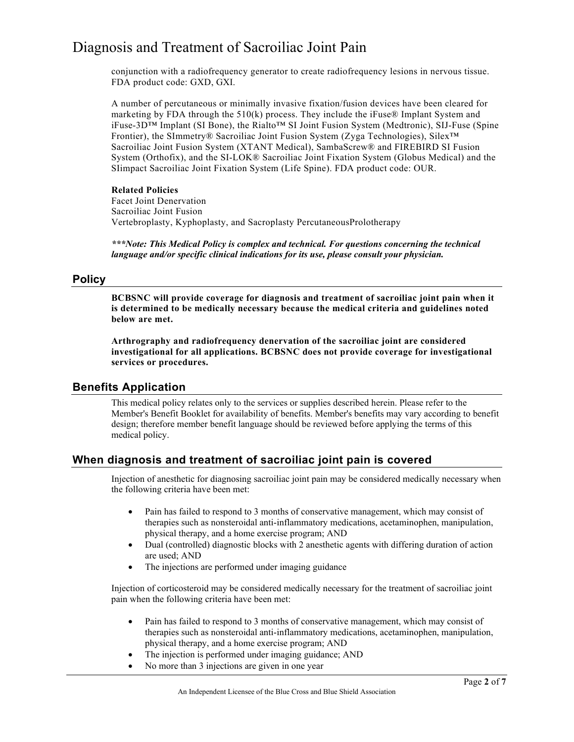conjunction with a radiofrequency generator to create radiofrequency lesions in nervous tissue. FDA product code: GXD, GXI.

A number of percutaneous or minimally invasive fixation/fusion devices have been cleared for marketing by FDA through the  $510(k)$  process. They include the iFuse® Implant System and iFuse-3D™ Implant (SI Bone), the Rialto™ SI Joint Fusion System (Medtronic), SIJ-Fuse (Spine Frontier), the SImmetry® Sacroiliac Joint Fusion System (Zyga Technologies), Silex™ Sacroiliac Joint Fusion System (XTANT Medical), SambaScrew® and FIREBIRD SI Fusion System (Orthofix), and the SI-LOK® Sacroiliac Joint Fixation System (Globus Medical) and the SIimpact Sacroiliac Joint Fixation System (Life Spine). FDA product code: OUR.

#### **Related Policies**

Facet Joint Denervation Sacroiliac Joint Fusion Vertebroplasty, Kyphoplasty, and Sacroplasty PercutaneousProlotherapy

*\*\*\*Note: This Medical Policy is complex and technical. For questions concerning the technical language and/or specific clinical indications for its use, please consult your physician.*

### **Policy**

**BCBSNC will provide coverage for diagnosis and treatment of sacroiliac joint pain when it is determined to be medically necessary because the medical criteria and guidelines noted below are met.**

**Arthrography and radiofrequency denervation of the sacroiliac joint are considered investigational for all applications. BCBSNC does not provide coverage for investigational services or procedures.**

### **Benefits Application**

This medical policy relates only to the services or supplies described herein. Please refer to the Member's Benefit Booklet for availability of benefits. Member's benefits may vary according to benefit design; therefore member benefit language should be reviewed before applying the terms of this medical policy.

## **When diagnosis and treatment of sacroiliac joint pain is covered**

Injection of anesthetic for diagnosing sacroiliac joint pain may be considered medically necessary when the following criteria have been met:

- Pain has failed to respond to 3 months of conservative management, which may consist of therapies such as nonsteroidal anti-inflammatory medications, acetaminophen, manipulation, physical therapy, and a home exercise program; AND
- Dual (controlled) diagnostic blocks with 2 anesthetic agents with differing duration of action are used; AND
- The injections are performed under imaging guidance

Injection of corticosteroid may be considered medically necessary for the treatment of sacroiliac joint pain when the following criteria have been met:

- Pain has failed to respond to 3 months of conservative management, which may consist of therapies such as nonsteroidal anti-inflammatory medications, acetaminophen, manipulation, physical therapy, and a home exercise program; AND
- The injection is performed under imaging guidance; AND
- No more than 3 injections are given in one year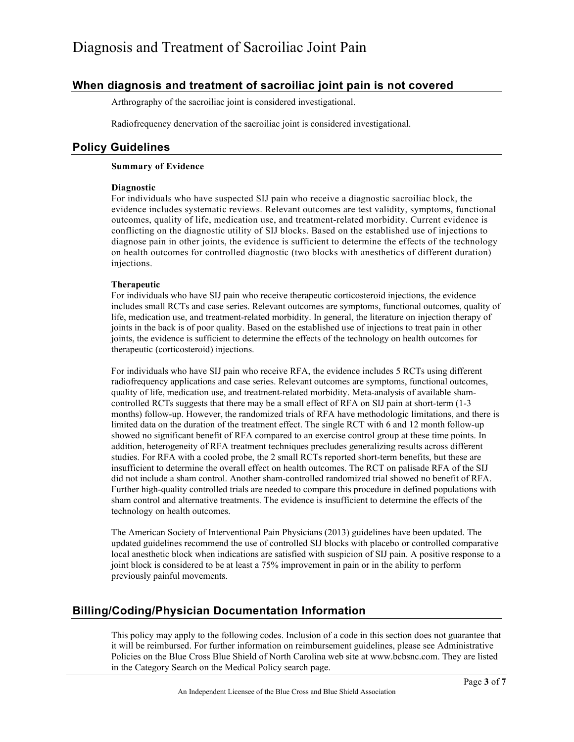## **When diagnosis and treatment of sacroiliac joint pain is not covered**

Arthrography of the sacroiliac joint is considered investigational.

Radiofrequency denervation of the sacroiliac joint is considered investigational.

## **Policy Guidelines**

### **Summary of Evidence**

#### **Diagnostic**

For individuals who have suspected SIJ pain who receive a diagnostic sacroiliac block, the evidence includes systematic reviews. Relevant outcomes are test validity, symptoms, functional outcomes, quality of life, medication use, and treatment-related morbidity. Current evidence is conflicting on the diagnostic utility of SIJ blocks. Based on the established use of injections to diagnose pain in other joints, the evidence is sufficient to determine the effects of the technology on health outcomes for controlled diagnostic (two blocks with anesthetics of different duration) injections.

### **Therapeutic**

For individuals who have SIJ pain who receive therapeutic corticosteroid injections, the evidence includes small RCTs and case series. Relevant outcomes are symptoms, functional outcomes, quality of life, medication use, and treatment-related morbidity. In general, the literature on injection therapy of joints in the back is of poor quality. Based on the established use of injections to treat pain in other joints, the evidence is sufficient to determine the effects of the technology on health outcomes for therapeutic (corticosteroid) injections.

For individuals who have SIJ pain who receive RFA, the evidence includes 5 RCTs using different radiofrequency applications and case series. Relevant outcomes are symptoms, functional outcomes, quality of life, medication use, and treatment-related morbidity. Meta-analysis of available shamcontrolled RCTs suggests that there may be a small effect of RFA on SIJ pain at short-term (1-3 months) follow-up. However, the randomized trials of RFA have methodologic limitations, and there is limited data on the duration of the treatment effect. The single RCT with 6 and 12 month follow-up showed no significant benefit of RFA compared to an exercise control group at these time points. In addition, heterogeneity of RFA treatment techniques precludes generalizing results across different studies. For RFA with a cooled probe, the 2 small RCTs reported short-term benefits, but these are insufficient to determine the overall effect on health outcomes. The RCT on palisade RFA of the SIJ did not include a sham control. Another sham-controlled randomized trial showed no benefit of RFA. Further high-quality controlled trials are needed to compare this procedure in defined populations with sham control and alternative treatments. The evidence is insufficient to determine the effects of the technology on health outcomes.

The American Society of Interventional Pain Physicians (2013) guidelines have been updated. The updated guidelines recommend the use of controlled SIJ blocks with placebo or controlled comparative local anesthetic block when indications are satisfied with suspicion of SIJ pain. A positive response to a joint block is considered to be at least a 75% improvement in pain or in the ability to perform previously painful movements.

## **Billing/Coding/Physician Documentation Information**

This policy may apply to the following codes. Inclusion of a code in this section does not guarantee that it will be reimbursed. For further information on reimbursement guidelines, please see Administrative Policies on the Blue Cross Blue Shield of North Carolina web site at www.bcbsnc.com. They are listed in the Category Search on the Medical Policy search page.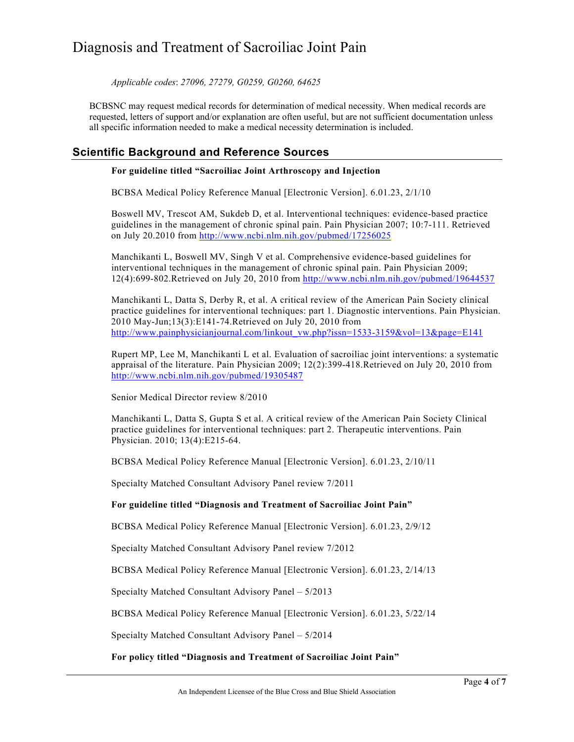*Applicable codes*: *27096, 27279, G0259, G0260, 64625*

BCBSNC may request medical records for determination of medical necessity. When medical records are requested, letters of support and/or explanation are often useful, but are not sufficient documentation unless all specific information needed to make a medical necessity determination is included.

## **Scientific Background and Reference Sources**

#### **For guideline titled "Sacroiliac Joint Arthroscopy and Injection**

BCBSA Medical Policy Reference Manual [Electronic Version]. 6.01.23, 2/1/10

Boswell MV, Trescot AM, Sukdeb D, et al. Interventional techniques: evidence-based practice guidelines in the management of chronic spinal pain. Pain Physician 2007; 10:7-111. Retrieved on July 20.2010 from<http://www.ncbi.nlm.nih.gov/pubmed/17256025>

Manchikanti L, Boswell MV, Singh V et al. Comprehensive evidence-based guidelines for interventional techniques in the management of chronic spinal pain. Pain Physician 2009; 12(4):699-802.Retrieved on July 20, 2010 from<http://www.ncbi.nlm.nih.gov/pubmed/19644537>

Manchikanti L, Datta S, Derby R, et al. A critical review of the American Pain Society clinical practice guidelines for interventional techniques: part 1. Diagnostic interventions. Pain Physician. 2010 May-Jun;13(3):E141-74.Retrieved on July 20, 2010 from [http://www.painphysicianjournal.com/linkout\\_vw.php?issn=1533-3159&vol=13&page=E141](http://www.painphysicianjournal.com/linkout_vw.php?issn=1533-3159&vol=13&page=E141)

Rupert MP, Lee M, Manchikanti L et al. Evaluation of sacroiliac joint interventions: a systematic appraisal of the literature. Pain Physician 2009; 12(2):399-418.Retrieved on July 20, 2010 from <http://www.ncbi.nlm.nih.gov/pubmed/19305487>

Senior Medical Director review 8/2010

Manchikanti L, Datta S, Gupta S et al. A critical review of the American Pain Society Clinical practice guidelines for interventional techniques: part 2. Therapeutic interventions. Pain Physician. 2010; 13(4):E215-64.

BCBSA Medical Policy Reference Manual [Electronic Version]. 6.01.23, 2/10/11

Specialty Matched Consultant Advisory Panel review 7/2011

### **For guideline titled "Diagnosis and Treatment of Sacroiliac Joint Pain"**

BCBSA Medical Policy Reference Manual [Electronic Version]. 6.01.23, 2/9/12

Specialty Matched Consultant Advisory Panel review 7/2012

BCBSA Medical Policy Reference Manual [Electronic Version]. 6.01.23, 2/14/13

Specialty Matched Consultant Advisory Panel – 5/2013

BCBSA Medical Policy Reference Manual [Electronic Version]. 6.01.23, 5/22/14

Specialty Matched Consultant Advisory Panel – 5/2014

### **For policy titled "Diagnosis and Treatment of Sacroiliac Joint Pain"**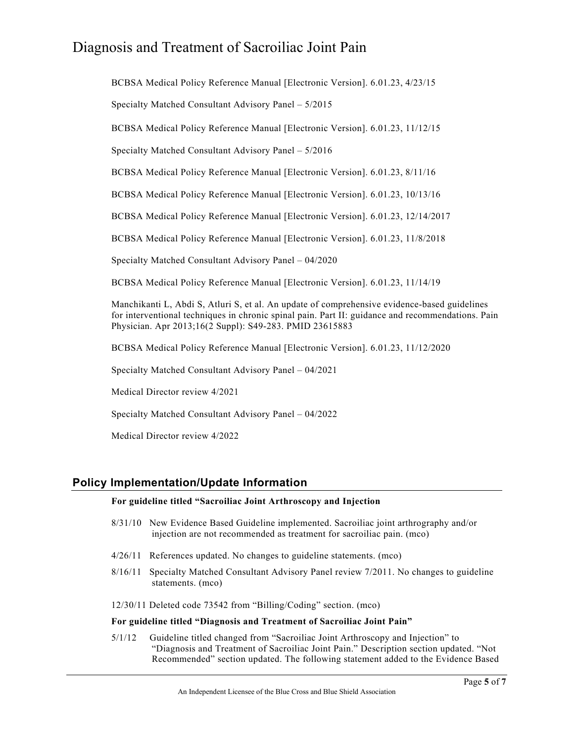BCBSA Medical Policy Reference Manual [Electronic Version]. 6.01.23, 4/23/15

Specialty Matched Consultant Advisory Panel – 5/2015

BCBSA Medical Policy Reference Manual [Electronic Version]. 6.01.23, 11/12/15

Specialty Matched Consultant Advisory Panel – 5/2016

BCBSA Medical Policy Reference Manual [Electronic Version]. 6.01.23, 8/11/16

BCBSA Medical Policy Reference Manual [Electronic Version]. 6.01.23, 10/13/16

BCBSA Medical Policy Reference Manual [Electronic Version]. 6.01.23, 12/14/2017

BCBSA Medical Policy Reference Manual [Electronic Version]. 6.01.23, 11/8/2018

Specialty Matched Consultant Advisory Panel – 04/2020

BCBSA Medical Policy Reference Manual [Electronic Version]. 6.01.23, 11/14/19

Manchikanti L, Abdi S, Atluri S, et al. An update of comprehensive evidence-based guidelines for interventional techniques in chronic spinal pain. Part II: guidance and recommendations. Pain Physician. Apr 2013;16(2 Suppl): S49-283. PMID 23615883

BCBSA Medical Policy Reference Manual [Electronic Version]. 6.01.23, 11/12/2020

Specialty Matched Consultant Advisory Panel – 04/2021

Medical Director review 4/2021

Specialty Matched Consultant Advisory Panel – 04/2022

Medical Director review 4/2022

### **Policy Implementation/Update Information**

#### **For guideline titled "Sacroiliac Joint Arthroscopy and Injection**

- 8/31/10 New Evidence Based Guideline implemented. Sacroiliac joint arthrography and/or injection are not recommended as treatment for sacroiliac pain. (mco)
- 4/26/11 References updated. No changes to guideline statements. (mco)
- 8/16/11 Specialty Matched Consultant Advisory Panel review 7/2011. No changes to guideline statements. (mco)

12/30/11 Deleted code 73542 from "Billing/Coding" section. (mco)

#### **For guideline titled "Diagnosis and Treatment of Sacroiliac Joint Pain"**

5/1/12 Guideline titled changed from "Sacroiliac Joint Arthroscopy and Injection" to "Diagnosis and Treatment of Sacroiliac Joint Pain." Description section updated. "Not Recommended" section updated. The following statement added to the Evidence Based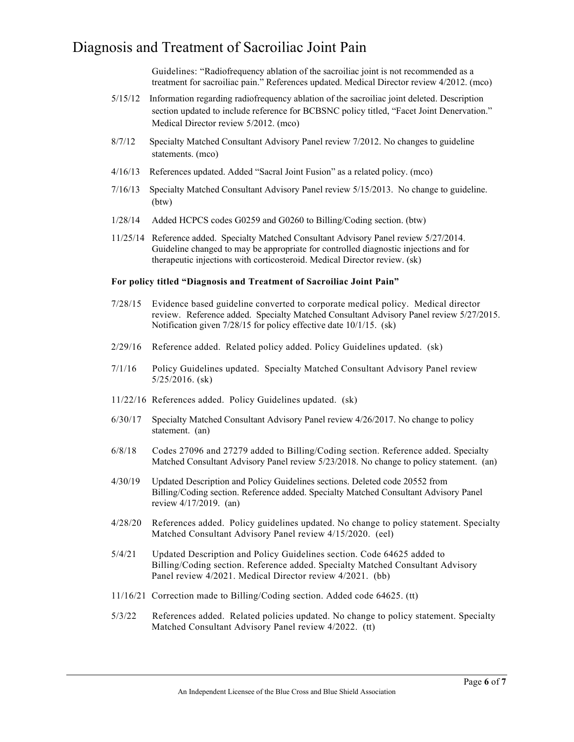Guidelines: "Radiofrequency ablation of the sacroiliac joint is not recommended as a treatment for sacroiliac pain." References updated. Medical Director review 4/2012. (mco)

- 5/15/12 Information regarding radiofrequency ablation of the sacroiliac joint deleted. Description section updated to include reference for BCBSNC policy titled, "Facet Joint Denervation." Medical Director review 5/2012. (mco)
- 8/7/12 Specialty Matched Consultant Advisory Panel review 7/2012. No changes to guideline statements. (mco)
- 4/16/13 References updated. Added "Sacral Joint Fusion" as a related policy. (mco)
- 7/16/13 Specialty Matched Consultant Advisory Panel review 5/15/2013. No change to guideline. (btw)
- 1/28/14 Added HCPCS codes G0259 and G0260 to Billing/Coding section. (btw)
- 11/25/14 Reference added. Specialty Matched Consultant Advisory Panel review 5/27/2014. Guideline changed to may be appropriate for controlled diagnostic injections and for therapeutic injections with corticosteroid. Medical Director review. (sk)

#### **For policy titled "Diagnosis and Treatment of Sacroiliac Joint Pain"**

- 7/28/15 Evidence based guideline converted to corporate medical policy. Medical director review. Reference added. Specialty Matched Consultant Advisory Panel review 5/27/2015. Notification given 7/28/15 for policy effective date 10/1/15. (sk)
- 2/29/16 Reference added. Related policy added. Policy Guidelines updated. (sk)
- 7/1/16 Policy Guidelines updated. Specialty Matched Consultant Advisory Panel review 5/25/2016. (sk)
- 11/22/16 References added. Policy Guidelines updated. (sk)
- 6/30/17 Specialty Matched Consultant Advisory Panel review 4/26/2017. No change to policy statement. (an)
- 6/8/18 Codes 27096 and 27279 added to Billing/Coding section. Reference added. Specialty Matched Consultant Advisory Panel review 5/23/2018. No change to policy statement. (an)
- 4/30/19 Updated Description and Policy Guidelines sections. Deleted code 20552 from Billing/Coding section. Reference added. Specialty Matched Consultant Advisory Panel review 4/17/2019. (an)
- 4/28/20 References added. Policy guidelines updated. No change to policy statement. Specialty Matched Consultant Advisory Panel review 4/15/2020. (eel)
- 5/4/21 Updated Description and Policy Guidelines section. Code 64625 added to Billing/Coding section. Reference added. Specialty Matched Consultant Advisory Panel review 4/2021. Medical Director review 4/2021. (bb)
- 11/16/21 Correction made to Billing/Coding section. Added code 64625. (tt)
- 5/3/22 References added. Related policies updated. No change to policy statement. Specialty Matched Consultant Advisory Panel review 4/2022. (tt)